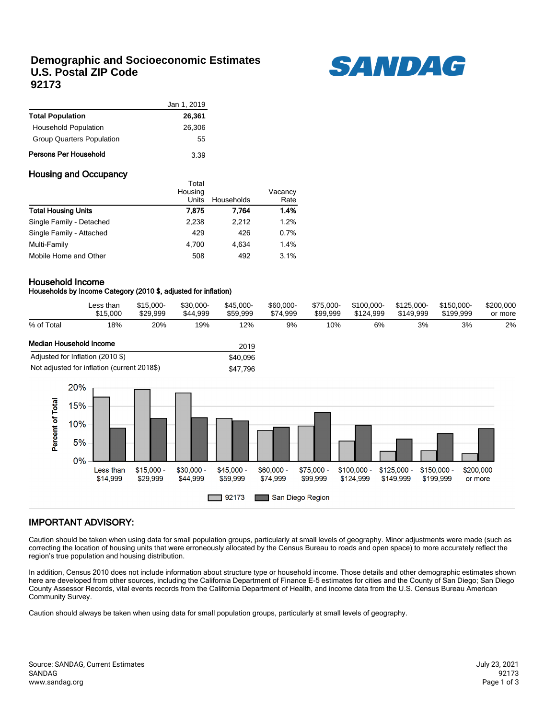## **Demographic and Socioeconomic Estimates U.S. Postal ZIP Code 92173**



|                                  | Jan 1, 2019 |
|----------------------------------|-------------|
| <b>Total Population</b>          | 26,361      |
| <b>Household Population</b>      | 26,306      |
| <b>Group Quarters Population</b> | 55          |
| Persons Per Household            | 3.39        |

### Housing and Occupancy

|                            | i otal<br>Housing |            | Vacancy |
|----------------------------|-------------------|------------|---------|
|                            | Units             | Households | Rate    |
| <b>Total Housing Units</b> | 7.875             | 7.764      | 1.4%    |
| Single Family - Detached   | 2,238             | 2.212      | 1.2%    |
| Single Family - Attached   | 429               | 426        | 0.7%    |
| Multi-Family               | 4.700             | 4.634      | 1.4%    |
| Mobile Home and Other      | 508               | 492        | 3.1%    |

Total

### Household Income

### Households by Income Category (2010 \$, adjusted for inflation)

|                         | Less than<br>\$15,000 | \$15,000-<br>\$29.999 | \$30.000-<br>\$44.999 | \$45.000-<br>\$59.999 | \$60,000-<br>\$74.999 | \$75.000-<br>\$99.999 | \$100.000-<br>\$124.999 | \$125.000-<br>\$149.999 | \$150.000-<br>\$199.999 | \$200,000<br>or more |
|-------------------------|-----------------------|-----------------------|-----------------------|-----------------------|-----------------------|-----------------------|-------------------------|-------------------------|-------------------------|----------------------|
| % of Total              | 18%                   | 20%                   | 19%                   | '2%                   | 9%                    | 10%                   | 6%                      | 3%                      | 3%                      | 2%                   |
| Median Household Income |                       |                       |                       | 2019                  |                       |                       |                         |                         |                         |                      |

|                                             | 2 U I J  |
|---------------------------------------------|----------|
| Adjusted for Inflation (2010 \$)            | \$40.096 |
| Not adjusted for inflation (current 2018\$) | \$47.796 |



## IMPORTANT ADVISORY:

Caution should be taken when using data for small population groups, particularly at small levels of geography. Minor adjustments were made (such as correcting the location of housing units that were erroneously allocated by the Census Bureau to roads and open space) to more accurately reflect the region's true population and housing distribution.

In addition, Census 2010 does not include information about structure type or household income. Those details and other demographic estimates shown here are developed from other sources, including the California Department of Finance E-5 estimates for cities and the County of San Diego; San Diego County Assessor Records, vital events records from the California Department of Health, and income data from the U.S. Census Bureau American Community Survey.

Caution should always be taken when using data for small population groups, particularly at small levels of geography.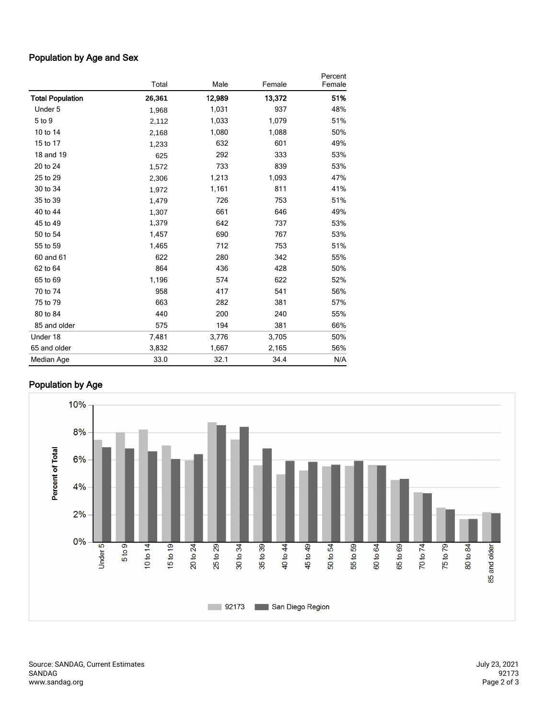## Population by Age and Sex

|                         | Total  | Male   | Female | Percent<br>Female |
|-------------------------|--------|--------|--------|-------------------|
| <b>Total Population</b> | 26,361 | 12,989 | 13,372 | 51%               |
| Under 5                 | 1,968  | 1,031  | 937    | 48%               |
| 5 to 9                  | 2,112  | 1,033  | 1,079  | 51%               |
| 10 to 14                | 2,168  | 1,080  | 1,088  | 50%               |
| 15 to 17                | 1,233  | 632    | 601    | 49%               |
| 18 and 19               | 625    | 292    | 333    | 53%               |
| 20 to 24                | 1,572  | 733    | 839    | 53%               |
| 25 to 29                | 2,306  | 1,213  | 1,093  | 47%               |
| 30 to 34                | 1,972  | 1,161  | 811    | 41%               |
| 35 to 39                | 1,479  | 726    | 753    | 51%               |
| 40 to 44                | 1,307  | 661    | 646    | 49%               |
| 45 to 49                | 1,379  | 642    | 737    | 53%               |
| 50 to 54                | 1,457  | 690    | 767    | 53%               |
| 55 to 59                | 1,465  | 712    | 753    | 51%               |
| 60 and 61               | 622    | 280    | 342    | 55%               |
| 62 to 64                | 864    | 436    | 428    | 50%               |
| 65 to 69                | 1,196  | 574    | 622    | 52%               |
| 70 to 74                | 958    | 417    | 541    | 56%               |
| 75 to 79                | 663    | 282    | 381    | 57%               |
| 80 to 84                | 440    | 200    | 240    | 55%               |
| 85 and older            | 575    | 194    | 381    | 66%               |
| Under 18                | 7,481  | 3,776  | 3,705  | 50%               |
| 65 and older            | 3,832  | 1,667  | 2,165  | 56%               |
| Median Age              | 33.0   | 32.1   | 34.4   | N/A               |

# Population by Age